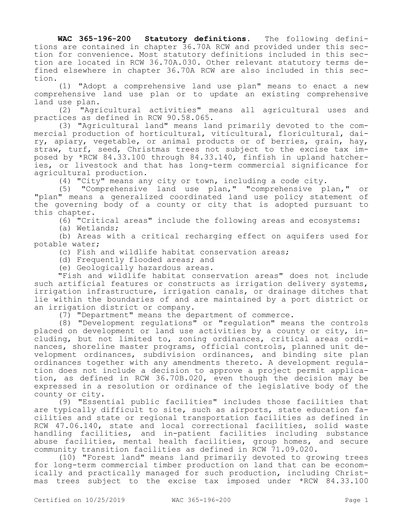**WAC 365-196-200 Statutory definitions.** The following definitions are contained in chapter 36.70A RCW and provided under this section for convenience. Most statutory definitions included in this section are located in RCW 36.70A.030. Other relevant statutory terms defined elsewhere in chapter 36.70A RCW are also included in this section.

(1) "Adopt a comprehensive land use plan" means to enact a new comprehensive land use plan or to update an existing comprehensive land use plan.

(2) "Agricultural activities" means all agricultural uses and practices as defined in RCW 90.58.065.

(3) "Agricultural land" means land primarily devoted to the commercial production of horticultural, viticultural, floricultural, dairy, apiary, vegetable, or animal products or of berries, grain, hay, straw, turf, seed, Christmas trees not subject to the excise tax imposed by \*RCW 84.33.100 through 84.33.140, finfish in upland hatcheries, or livestock and that has long-term commercial significance for agricultural production.

(4) "City" means any city or town, including a code city.

(5) "Comprehensive land use plan," "comprehensive plan," or "plan" means a generalized coordinated land use policy statement of the governing body of a county or city that is adopted pursuant to this chapter.

(6) "Critical areas" include the following areas and ecosystems:

(a) Wetlands;

(b) Areas with a critical recharging effect on aquifers used for potable water;

(c) Fish and wildlife habitat conservation areas;

(d) Frequently flooded areas; and

(e) Geologically hazardous areas.

"Fish and wildlife habitat conservation areas" does not include such artificial features or constructs as irrigation delivery systems, irrigation infrastructure, irrigation canals, or drainage ditches that lie within the boundaries of and are maintained by a port district or an irrigation district or company.

(7) "Department" means the department of commerce.

(8) "Development regulations" or "regulation" means the controls placed on development or land use activities by a county or city, including, but not limited to, zoning ordinances, critical areas ordinances, shoreline master programs, official controls, planned unit development ordinances, subdivision ordinances, and binding site plan ordinances together with any amendments thereto. A development regulation does not include a decision to approve a project permit application, as defined in RCW 36.70B.020, even though the decision may be expressed in a resolution or ordinance of the legislative body of the county or city.

(9) "Essential public facilities" includes those facilities that are typically difficult to site, such as airports, state education facilities and state or regional transportation facilities as defined in RCW 47.06.140, state and local correctional facilities, solid waste handling facilities, and in-patient facilities including substance abuse facilities, mental health facilities, group homes, and secure community transition facilities as defined in RCW 71.09.020.

(10) "Forest land" means land primarily devoted to growing trees for long-term commercial timber production on land that can be economically and practically managed for such production, including Christmas trees subject to the excise tax imposed under \*RCW 84.33.100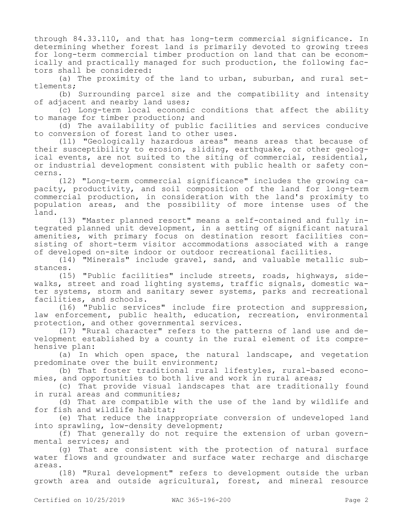through 84.33.110, and that has long-term commercial significance. In determining whether forest land is primarily devoted to growing trees for long-term commercial timber production on land that can be economically and practically managed for such production, the following factors shall be considered:

(a) The proximity of the land to urban, suburban, and rural settlements;

(b) Surrounding parcel size and the compatibility and intensity of adjacent and nearby land uses;

(c) Long-term local economic conditions that affect the ability to manage for timber production; and

(d) The availability of public facilities and services conducive to conversion of forest land to other uses.

(11) "Geologically hazardous areas" means areas that because of their susceptibility to erosion, sliding, earthquake, or other geological events, are not suited to the siting of commercial, residential, or industrial development consistent with public health or safety concerns.

(12) "Long-term commercial significance" includes the growing capacity, productivity, and soil composition of the land for long-term commercial production, in consideration with the land's proximity to population areas, and the possibility of more intense uses of the land.

(13) "Master planned resort" means a self-contained and fully integrated planned unit development, in a setting of significant natural amenities, with primary focus on destination resort facilities consisting of short-term visitor accommodations associated with a range of developed on-site indoor or outdoor recreational facilities.

(14) "Minerals" include gravel, sand, and valuable metallic substances.

(15) "Public facilities" include streets, roads, highways, sidewalks, street and road lighting systems, traffic signals, domestic water systems, storm and sanitary sewer systems, parks and recreational facilities, and schools.

(16) "Public services" include fire protection and suppression, law enforcement, public health, education, recreation, environmental protection, and other governmental services.

(17) "Rural character" refers to the patterns of land use and development established by a county in the rural element of its comprehensive plan:

(a) In which open space, the natural landscape, and vegetation predominate over the built environment;

(b) That foster traditional rural lifestyles, rural-based economies, and opportunities to both live and work in rural areas;

(c) That provide visual landscapes that are traditionally found in rural areas and communities;

(d) That are compatible with the use of the land by wildlife and for fish and wildlife habitat;

(e) That reduce the inappropriate conversion of undeveloped land into sprawling, low-density development;

(f) That generally do not require the extension of urban governmental services; and

(g) That are consistent with the protection of natural surface water flows and groundwater and surface water recharge and discharge areas.

(18) "Rural development" refers to development outside the urban growth area and outside agricultural, forest, and mineral resource